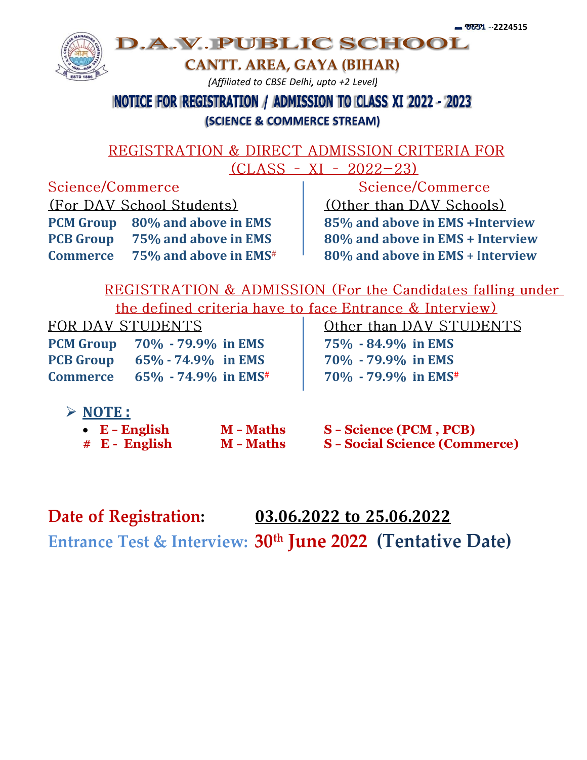

# **NOTICE FOR REGISTRATION / ADMISSION TO CLASS XI 2022 - 2023**

#### **(SCIENCE & COMMERCE STREAM)**

#### REGISTRATION & DIRECT ADMISSION CRITERIA FOR  $CLASS - XI - 2022 - 23)$

Science/Commerce (For DAV School Students) **PCM Group 80% and above in EMS 85% and above in EMS +Interview PCB Group 75% and above in EMS 80% and above in EMS + Interview Commerce 75% and above in EMS# 80% and above in EMS** + I**nterview**

Science/Commerce (Other than DAV Schools)

REGISTRATION & ADMISSION (For the Candidates falling under the defined criteria have to face Entrance & Interview)

FOR DAV STUDENTS

**PCM Group 70% - 79.9% in EMS 75% - 84.9% in EMS PCB Group 65% - 74.9% in EMS 70% - 79.9% in EMS Commerce 65% - 74.9% in EMS# 70% - 79.9% in EMS#**

Other than DAV STUDENTS

## **NOTE :**

 **E – English M – Maths S – Science (PCM , PCB) # E - English M – Maths S – Social Science (Commerce)**

**Date of Registration: 03.06.2022 to 25.06.2022**

**Entrance Test & Interview: 30th June 2022 (Tentative Date)**